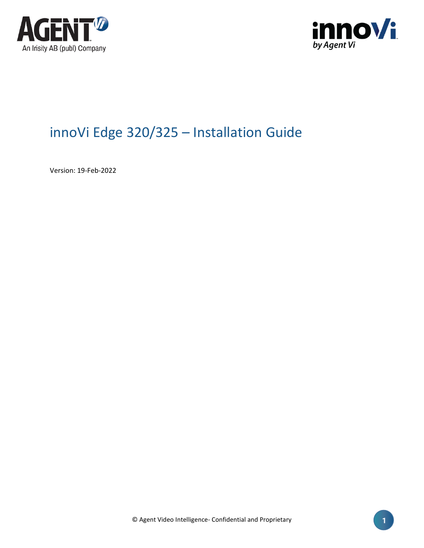



# innoVi Edge 320/325 – Installation Guide

Version: 19-Feb-2022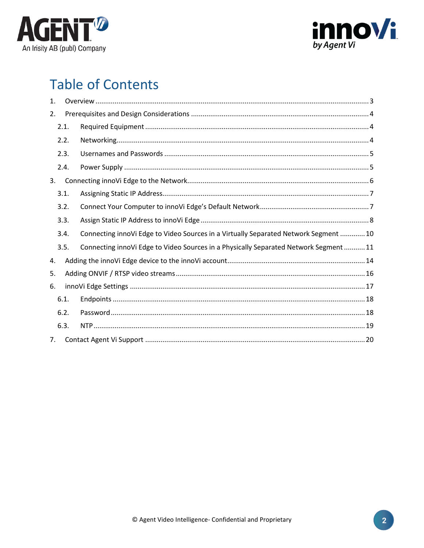



# **Table of Contents**

| 1. |      |                                                                                       |
|----|------|---------------------------------------------------------------------------------------|
| 2. |      |                                                                                       |
|    | 2.1. |                                                                                       |
|    | 2.2. |                                                                                       |
|    | 2.3. |                                                                                       |
|    | 2.4. |                                                                                       |
| 3. |      |                                                                                       |
|    | 3.1. |                                                                                       |
|    | 3.2. |                                                                                       |
|    | 3.3. |                                                                                       |
|    | 3.4. | Connecting innoVi Edge to Video Sources in a Virtually Separated Network Segment  10  |
|    | 3.5. | Connecting innoVi Edge to Video Sources in a Physically Separated Network Segment  11 |
| 4. |      |                                                                                       |
| 5. |      |                                                                                       |
| 6. |      |                                                                                       |
|    | 6.1. |                                                                                       |
|    | 6.2. |                                                                                       |
|    | 6.3. |                                                                                       |
| 7. |      |                                                                                       |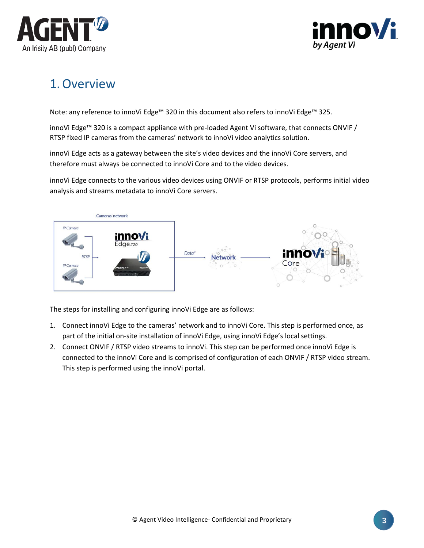



# <span id="page-2-0"></span>1.Overview

Note: any reference to innoVi Edge™ 320 in this document also refers to innoVi Edge™ 325.

innoVi Edge™ 320 is a compact appliance with pre-loaded Agent Vi software, that connects ONVIF / RTSP fixed IP cameras from the cameras' network to innoVi video analytics solution.

innoVi Edge acts as a gateway between the site's video devices and the innoVi Core servers, and therefore must always be connected to innoVi Core and to the video devices.

innoVi Edge connects to the various video devices using ONVIF or RTSP protocols, performs initial video analysis and streams metadata to innoVi Core servers.



The steps for installing and configuring innoVi Edge are as follows:

- 1. Connect innoVi Edge to the cameras' network and to innoVi Core. This step is performed once, as part of the initial on-site installation of innoVi Edge, using innoVi Edge's local settings.
- 2. Connect ONVIF / RTSP video streams to innoVi. This step can be performed once innoVi Edge is connected to the innoVi Core and is comprised of configuration of each ONVIF / RTSP video stream. This step is performed using the innoVi portal.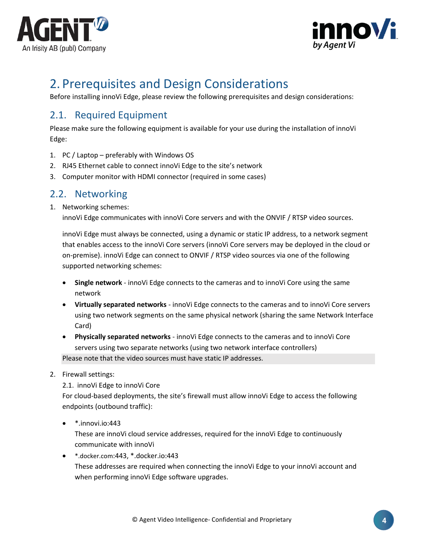



# <span id="page-3-0"></span>2. Prerequisites and Design Considerations

Before installing innoVi Edge, please review the following prerequisites and design considerations:

## <span id="page-3-1"></span>2.1. Required Equipment

Please make sure the following equipment is available for your use during the installation of innoVi Edge:

- 1. PC / Laptop preferably with Windows OS
- 2. RJ45 Ethernet cable to connect innoVi Edge to the site's network
- 3. Computer monitor with HDMI connector (required in some cases)

## <span id="page-3-2"></span>2.2. Networking

1. Networking schemes:

innoVi Edge communicates with innoVi Core servers and with the ONVIF / RTSP video sources.

innoVi Edge must always be connected, using a dynamic or static IP address, to a network segment that enables access to the innoVi Core servers (innoVi Core servers may be deployed in the cloud or on-premise). innoVi Edge can connect to ONVIF / RTSP video sources via one of the following supported networking schemes:

- **Single network** innoVi Edge connects to the cameras and to innoVi Core using the same network
- **Virtually separated networks**  innoVi Edge connects to the cameras and to innoVi Core servers using two network segments on the same physical network (sharing the same Network Interface Card)
- **Physically separated networks**  innoVi Edge connects to the cameras and to innoVi Core servers using two separate networks (using two network interface controllers) Please note that the video sources must have static IP addresses.
- 2. Firewall settings:
	- 2.1. innoVi Edge to innoVi Core

For cloud-based deployments, the site's firewall must allow innoVi Edge to access the following endpoints (outbound traffic):

 $\bullet$  \*.innovi.io:443

These are innoVi cloud service addresses, required for the innoVi Edge to continuously communicate with innoVi

• [\\*.docker.com](http://hub.docker.com/):443, \*.docker.io:443 These addresses are required when connecting the innoVi Edge to your innoVi account and when performing innoVi Edge software upgrades.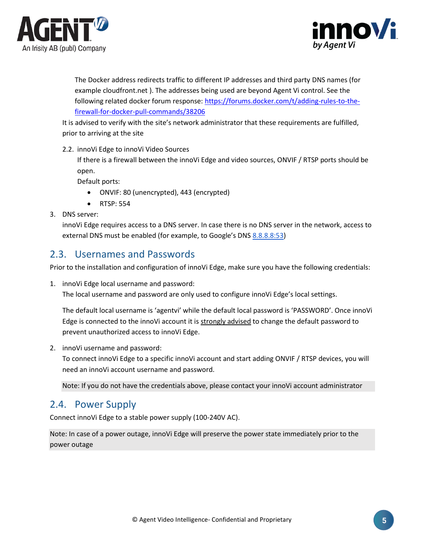



The Docker address redirects traffic to different IP addresses and third party DNS names (for example cloudfront.net ). The addresses being used are beyond Agent Vi control. See the following related docker forum response[: https://forums.docker.com/t/adding-rules-to-the](https://forums.docker.com/t/adding-rules-to-the-firewall-for-docker-pull-commands/38206)[firewall-for-docker-pull-commands/38206](https://forums.docker.com/t/adding-rules-to-the-firewall-for-docker-pull-commands/38206)

It is advised to verify with the site's network administrator that these requirements are fulfilled, prior to arriving at the site

2.2. innoVi Edge to innoVi Video Sources

If there is a firewall between the innoVi Edge and video sources, ONVIF / RTSP ports should be open.

Default ports:

- ONVIF: 80 (unencrypted), 443 (encrypted)
- RTSP: 554
- 3. DNS server:

innoVi Edge requires access to a DNS server. In case there is no DNS server in the network, access to external DNS must be enabled (for example, to Google's DNS 8.8.8.8:53)

## <span id="page-4-0"></span>2.3. Usernames and Passwords

Prior to the installation and configuration of innoVi Edge, make sure you have the following credentials:

1. innoVi Edge local username and password:

The local username and password are only used to configure innoVi Edge's local settings.

The default local username is 'agentvi' while the default local password is 'PASSWORD'. Once innoVi Edge is connected to the innoVi account it is strongly advised to change the default password to prevent unauthorized access to innoVi Edge.

2. innoVi username and password:

To connect innoVi Edge to a specific innoVi account and start adding ONVIF / RTSP devices, you will need an innoVi account username and password.

Note: If you do not have the credentials above, please contact your innoVi account administrator

## <span id="page-4-1"></span>2.4. Power Supply

Connect innoVi Edge to a stable power supply (100-240V AC).

Note: In case of a power outage, innoVi Edge will preserve the power state immediately prior to the power outage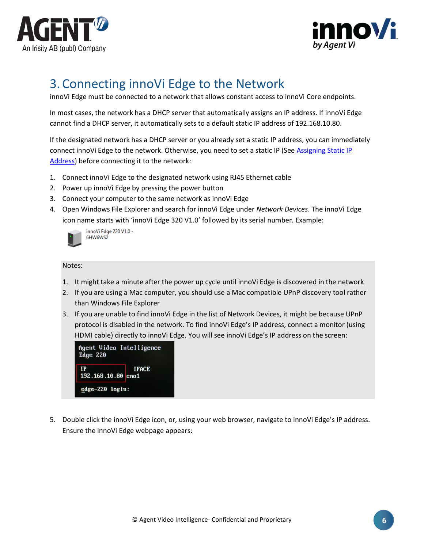



# <span id="page-5-0"></span>3. Connecting innoVi Edge to the Network

innoVi Edge must be connected to a network that allows constant access to innoVi Core endpoints.

In most cases, the network has a DHCP server that automatically assigns an IP address. If innoVi Edge cannot find a DHCP server, it automatically sets to a default static IP address of 192.168.10.80.

If the designated network has a DHCP server or you already set a static IP address, you can immediately connect innoVi Edge to the network. Otherwise, you need to set a static IP (See [Assigning](#page-6-0) Static IP [Address\)](#page-6-0) before connecting it to the network:

- 1. Connect innoVi Edge to the designated network using RJ45 Ethernet cable
- 2. Power up innoVi Edge by pressing the power button
- 3. Connect your computer to the same network as innoVi Edge
- 4. Open Windows File Explorer and search for innoVi Edge under *Network Devices*. The innoVi Edge icon name starts with 'innoVi Edge 320 V1.0' followed by its serial number. Example:



innoVi Edge 220 V1.0 -6HW6WS2

Notes:

- 1. It might take a minute after the power up cycle until innoVi Edge is discovered in the network
- 2. If you are using a Mac computer, you should use a Mac compatible UPnP discovery tool rather than Windows File Explorer
- 3. If you are unable to find innoVi Edge in the list of Network Devices, it might be because UPnP protocol is disabled in the network. To find innoVi Edge's IP address, connect a monitor (using HDMI cable) directly to innoVi Edge. You will see innoVi Edge's IP address on the screen:

| Agent Video Intelligence<br><b>Edge 220</b> |              |
|---------------------------------------------|--------------|
| IP<br>192.168.10.80 eno1                    | <b>IFACE</b> |
| edge-220 login:                             |              |

5. Double click the innoVi Edge icon, or, using your web browser, navigate to innoVi Edge's IP address. Ensure the innoVi Edge webpage appears: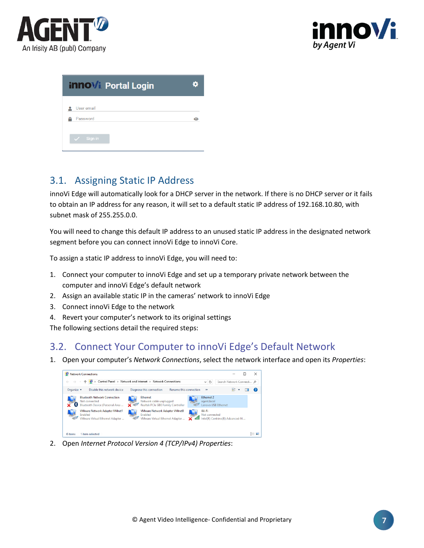



| <b>innovi</b> Portal Login | o |
|----------------------------|---|
| User email                 |   |
| Password                   | Θ |
| $\checkmark$ Sign in       |   |

## <span id="page-6-0"></span>3.1. Assigning Static IP Address

innoVi Edge will automatically look for a DHCP server in the network. If there is no DHCP server or it fails to obtain an IP address for any reason, it will set to a default static IP address of 192.168.10.80, with subnet mask of 255.255.0.0.

You will need to change this default IP address to an unused static IP address in the designated network segment before you can connect innoVi Edge to innoVi Core.

To assign a static IP address to innoVi Edge, you will need to:

- 1. Connect your computer to innoVi Edge and set up a temporary private network between the computer and innoVi Edge's default network
- 2. Assign an available static IP in the cameras' network to innoVi Edge
- 3. Connect innoVi Edge to the network
- 4. Revert your computer's network to its original settings

The following sections detail the required steps:

## <span id="page-6-1"></span>3.2. Connect Your Computer to innoVi Edge's Default Network

1. Open your computer's *Network Connections*, select the network interface and open its *Properties*:



2. Open *Internet Protocol Version 4 (TCP/IPv4) Properties*: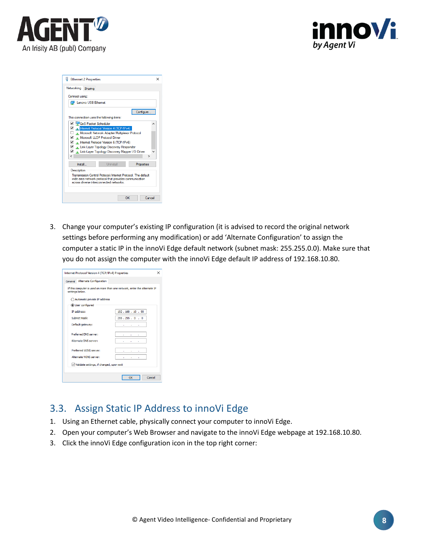![](_page_7_Picture_0.jpeg)

![](_page_7_Picture_1.jpeg)

| <b>Ethernet 2 Properties</b>                                                                      |            |
|---------------------------------------------------------------------------------------------------|------------|
| Networking<br>Sharing                                                                             |            |
| Connect using:                                                                                    |            |
| Lenovo USB Ethemet                                                                                |            |
|                                                                                                   | Configure  |
| This connection uses the following items:                                                         |            |
| <b>M</b> & QoS Packet Scheduler                                                                   | ́          |
| Mary Internet Protocol Version 4 (TCP/IPv4)                                                       |            |
| Microsoft Network Adapter Multiplexor Protocol                                                    |            |
| Microsoft LLDP Protocol Driver                                                                    |            |
| Internet Protocol Version 6 (TCP/IPv6)                                                            |            |
| Link-Layer Topology Discovery Responder<br>⊡<br>Link-Laver Topology Discovery Mapper I/O Driver   |            |
| $\overline{\phantom{a}}$                                                                          | >          |
|                                                                                                   |            |
| Uninstall<br>Install                                                                              | Properties |
| Description                                                                                       |            |
| Transmission Control Protocol/Internet Protocol The default                                       |            |
| wide area network protocol that provides communication<br>across diverse interconnected networks. |            |
|                                                                                                   |            |
|                                                                                                   |            |
| OK                                                                                                | Cancel     |

3. Change your computer's existing IP configuration (it is advised to record the original network settings before performing any modification) or add 'Alternate Configuration' to assign the computer a static IP in the innoVi Edge default network (subnet mask: 255.255.0.0). Make sure that you do not assign the computer with the innoVi Edge default IP address of 192.168.10.80.

| Internet Protocol Version 4 (TCP/IPv4) Properties | ×                                                                         |
|---------------------------------------------------|---------------------------------------------------------------------------|
| General Alternate Configuration                   |                                                                           |
| settings below.                                   | If this computer is used on more than one network, enter the alternate IP |
| Automatic private IP address                      |                                                                           |
| <b>O</b> User configured                          |                                                                           |
| IP address:                                       | 192, 168, 10, 90                                                          |
| Subnet mask:                                      | 255.255.0.0                                                               |
| Default gateway:                                  | ٠<br>٠<br>٠                                                               |
| Preferred DNS server:                             |                                                                           |
| Alternate DNS server:                             | ×.                                                                        |
| Preferred WINS server:                            |                                                                           |
| Alternate WINS server:                            |                                                                           |
| V Validate settings, if changed, upon exit        |                                                                           |
|                                                   |                                                                           |
|                                                   | Cancel<br>OK                                                              |

## <span id="page-7-0"></span>3.3. Assign Static IP Address to innoVi Edge

- 1. Using an Ethernet cable, physically connect your computer to innoVi Edge.
- 2. Open your computer's Web Browser and navigate to the innoVi Edge webpage at 192.168.10.80.
- 3. Click the innoVi Edge configuration icon in the top right corner: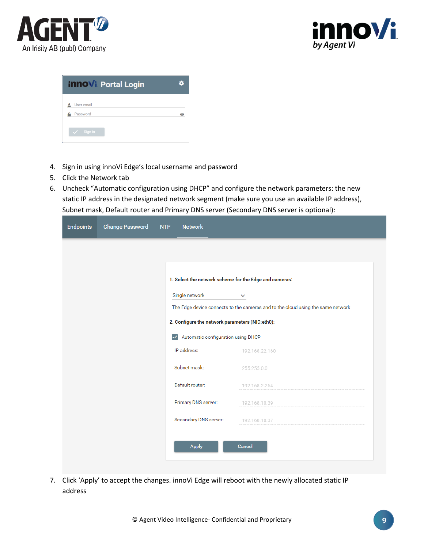![](_page_8_Picture_0.jpeg)

![](_page_8_Picture_1.jpeg)

| <b>innovi</b> Portal Login |  |
|----------------------------|--|
| User email                 |  |
| Password                   |  |
| Sign in                    |  |

- 4. Sign in using innoVi Edge's local username and password
- 5. Click the Network tab
- 6. Uncheck "Automatic configuration using DHCP" and configure the network parameters: the new static IP address in the designated network segment (make sure you use an available IP address), Subnet mask, Default router and Primary DNS server (Secondary DNS server is optional):

| <b>Endpoints</b> | <b>Change Password</b> | <b>Network</b><br><b>NTP</b>                           |                                                                                 |
|------------------|------------------------|--------------------------------------------------------|---------------------------------------------------------------------------------|
|                  |                        |                                                        |                                                                                 |
|                  |                        |                                                        |                                                                                 |
|                  |                        | 1. Select the network scheme for the Edge and cameras: |                                                                                 |
|                  |                        | Single network                                         | $\checkmark$                                                                    |
|                  |                        |                                                        | The Edge device connects to the cameras and to the cloud using the same network |
|                  |                        | 2. Configure the network parameters (NIC:eth0):        |                                                                                 |
|                  |                        | Automatic configuration using DHCP<br>$\checkmark$     |                                                                                 |
|                  |                        | IP address:                                            | 192.168.22.160                                                                  |
|                  |                        | Subnet mask:                                           | 255.255.0.0                                                                     |
|                  |                        | Default router:                                        | 192.168.2.254                                                                   |
|                  |                        | Primary DNS server:                                    | 192.168.10.39                                                                   |
|                  |                        | Secondary DNS server:                                  | 192.168.10.37                                                                   |
|                  |                        |                                                        |                                                                                 |
|                  |                        | <b>Apply</b>                                           | Cancel                                                                          |
|                  |                        |                                                        |                                                                                 |

7. Click 'Apply' to accept the changes. innoVi Edge will reboot with the newly allocated static IP address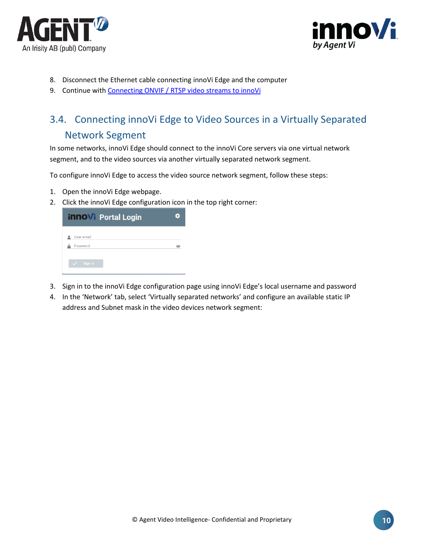![](_page_9_Picture_0.jpeg)

![](_page_9_Picture_1.jpeg)

- 8. Disconnect the Ethernet cable connecting innoVi Edge and the computer
- 9. Continue with [Connecting ONVIF / RTSP video](#page-13-0) streams to innoVi

## <span id="page-9-0"></span>3.4. Connecting innoVi Edge to Video Sources in a Virtually Separated Network Segment

In some networks, innoVi Edge should connect to the innoVi Core servers via one virtual network segment, and to the video sources via another virtually separated network segment.

To configure innoVi Edge to access the video source network segment, follow these steps:

- 1. Open the innoVi Edge webpage.
- 2. Click the innoVi Edge configuration icon in the top right corner:

| <b>innovi</b> Portal Login | о |
|----------------------------|---|
| User email                 |   |
| Password                   | G |
| Sign in                    |   |

- 3. Sign in to the innoVi Edge configuration page using innoVi Edge's local username and password
- 4. In the 'Network' tab, select 'Virtually separated networks' and configure an available static IP address and Subnet mask in the video devices network segment: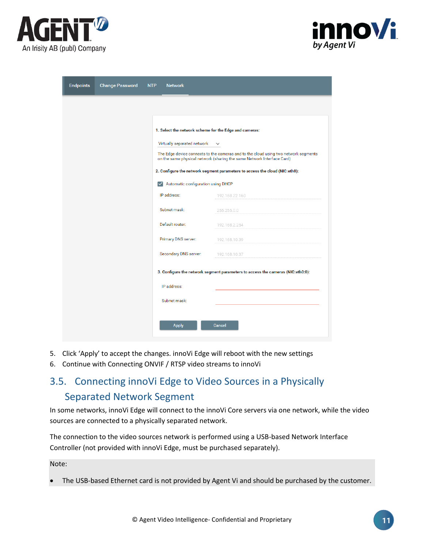![](_page_10_Picture_0.jpeg)

![](_page_10_Picture_1.jpeg)

| <b>Endpoints</b> | <b>Change Password</b> | <b>Network</b><br><b>NTP</b>                           |                                                                                                                                                               |
|------------------|------------------------|--------------------------------------------------------|---------------------------------------------------------------------------------------------------------------------------------------------------------------|
|                  |                        |                                                        |                                                                                                                                                               |
|                  |                        | 1. Select the network scheme for the Edge and cameras: |                                                                                                                                                               |
|                  |                        | Virtually separated network                            | $\checkmark$                                                                                                                                                  |
|                  |                        |                                                        | The Edge device connects to the cameras and to the cloud using two network segments<br>on the same physical network (sharing the same Network Interface Card) |
|                  |                        |                                                        | 2. Configure the network segment parameters to access the cloud (NIC:eth0):                                                                                   |
|                  |                        | Automatic configuration using DHCP<br>$\checkmark$     |                                                                                                                                                               |
|                  |                        | IP address:                                            | 192.168.22.160                                                                                                                                                |
|                  |                        | Subnet mask:                                           | 255.255.0.0                                                                                                                                                   |
|                  |                        | Default router:                                        | 192.168.2.254                                                                                                                                                 |
|                  |                        | Primary DNS server:                                    | 192.168.10.39                                                                                                                                                 |
|                  |                        | Secondary DNS server:                                  | 192.168.10.37                                                                                                                                                 |
|                  |                        |                                                        | 3. Configure the network segment parameters to access the cameras (NIC:eth0:0):                                                                               |
|                  |                        | IP address:                                            |                                                                                                                                                               |
|                  |                        | Subnet mask:                                           |                                                                                                                                                               |
|                  |                        |                                                        |                                                                                                                                                               |
|                  |                        | <b>Apply</b>                                           | Cancel                                                                                                                                                        |
|                  |                        |                                                        |                                                                                                                                                               |

- 5. Click 'Apply' to accept the changes. innoVi Edge will reboot with the new settings
- 6. Continue with Connecting ONVIF / RTSP video streams to innoVi

## <span id="page-10-0"></span>3.5. Connecting innoVi Edge to Video Sources in a Physically Separated Network Segment

In some networks, innoVi Edge will connect to the innoVi Core servers via one network, while the video sources are connected to a physically separated network.

The connection to the video sources network is performed using a USB-based Network Interface Controller (not provided with innoVi Edge, must be purchased separately).

Note:

• The USB-based Ethernet card is not provided by Agent Vi and should be purchased by the customer.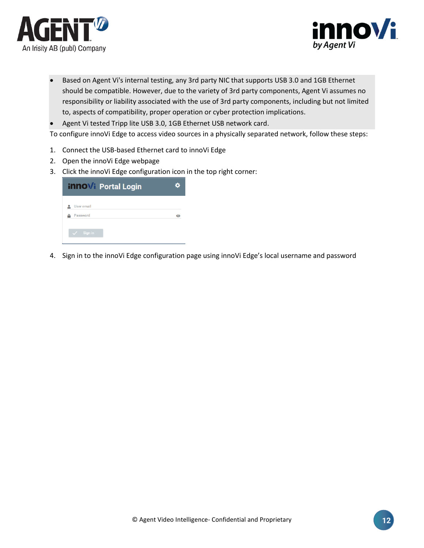![](_page_11_Picture_0.jpeg)

![](_page_11_Picture_1.jpeg)

- Based on Agent Vi's internal testing, any 3rd party NIC that supports USB 3.0 and 1GB Ethernet should be compatible. However, due to the variety of 3rd party components, Agent Vi assumes no responsibility or liability associated with the use of 3rd party components, including but not limited to, aspects of compatibility, proper operation or cyber protection implications.
- Agent Vi tested Tripp lite USB 3.0, 1GB Ethernet USB network card.

To configure innoVi Edge to access video sources in a physically separated network, follow these steps:

- 1. Connect the USB-based Ethernet card to innoVi Edge
- 2. Open the innoVi Edge webpage
- 3. Click the innoVi Edge configuration icon in the top right corner:

| <b>innovi</b> Portal Login |  |
|----------------------------|--|
| User email                 |  |
| Password                   |  |
| Sign in<br>47              |  |

4. Sign in to the innoVi Edge configuration page using innoVi Edge's local username and password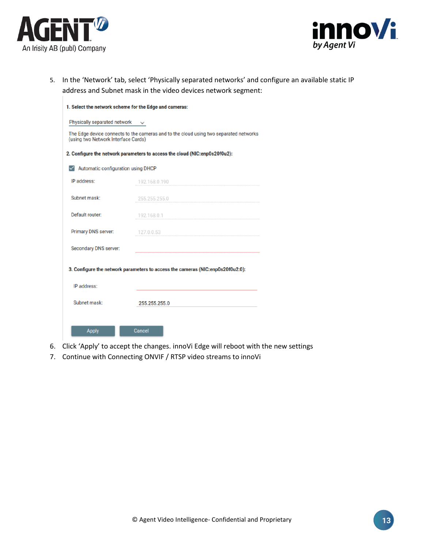![](_page_12_Picture_0.jpeg)

![](_page_12_Picture_1.jpeg)

5. In the 'Network' tab, select 'Physically separated networks' and configure an available static IP address and Subnet mask in the video devices network segment:

| 1. Select the network scheme for the Edge and cameras:<br>Physically separated network |                                                                                       |
|----------------------------------------------------------------------------------------|---------------------------------------------------------------------------------------|
| (using two Network Interface Cards)                                                    | The Edge device connects to the cameras and to the cloud using two separated networks |
|                                                                                        | 2. Configure the network parameters to access the cloud (NIC:enp0s20f0u2):            |
| $\sqrt{\phantom{a}}$ Automatic configuration using DHCP                                |                                                                                       |
| IP address:                                                                            | 192.168.0.190                                                                         |
| Subnet mask:                                                                           | 255.255.255.0                                                                         |
| Default router:                                                                        | 192.168.0.1                                                                           |
| Primary DNS server:                                                                    | 127.0.0.53                                                                            |
| Secondary DNS server:                                                                  |                                                                                       |
|                                                                                        | 3. Configure the network parameters to access the cameras (NIC:enp0s20f0u2:0):        |
| IP address:                                                                            |                                                                                       |
| Subnet mask:                                                                           | 255.255.255.0                                                                         |
| <b>Apply</b>                                                                           | Cancel                                                                                |

- 6. Click 'Apply' to accept the changes. innoVi Edge will reboot with the new settings
- 7. Continue with Connecting ONVIF / RTSP video streams to innoVi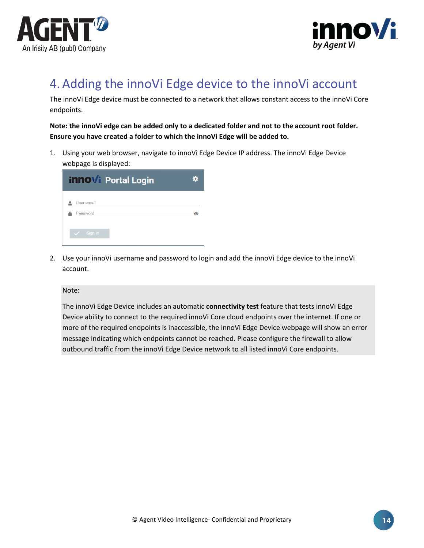![](_page_13_Picture_0.jpeg)

![](_page_13_Picture_1.jpeg)

# <span id="page-13-0"></span>4.Adding the innoVi Edge device to the innoVi account

The innoVi Edge device must be connected to a network that allows constant access to the innoVi Core endpoints.

**Note: the innoVi edge can be added only to a dedicated folder and not to the account root folder. Ensure you have created a folder to which the innoVi Edge will be added to.**

1. Using your web browser, navigate to innoVi Edge Device IP address. The innoVi Edge Device webpage is displayed:

| Θ |
|---|
|   |

2. Use your innoVi username and password to login and add the innoVi Edge device to the innoVi account.

Note:

The innoVi Edge Device includes an automatic **connectivity test** feature that tests innoVi Edge Device ability to connect to the required innoVi Core cloud endpoints over the internet. If one or more of the required endpoints is inaccessible, the innoVi Edge Device webpage will show an error message indicating which endpoints cannot be reached. Please configure the firewall to allow outbound traffic from the innoVi Edge Device network to all listed innoVi Core [endpoints.](#page-3-2)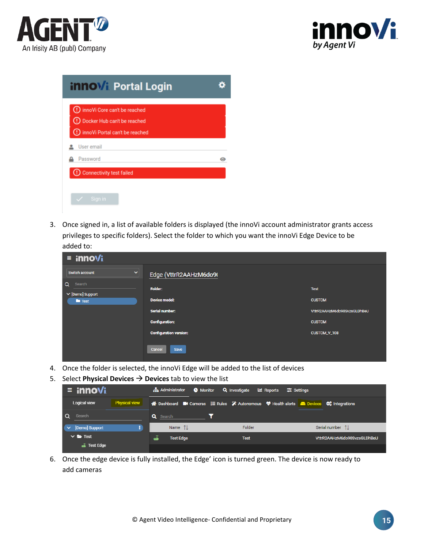![](_page_14_Picture_0.jpeg)

![](_page_14_Picture_1.jpeg)

| <b>innovi</b> Portal Login                                            |           |
|-----------------------------------------------------------------------|-----------|
| (!) innoVi Core can't be reached                                      |           |
| (!) Docker Hub can't be reached<br>(!) innoVi Portal can't be reached |           |
| User email                                                            |           |
| Password                                                              | $\bullet$ |
| Connectivity test failed                                              |           |

3. Once signed in, a list of available folders is displayed (the innoVi account administrator grants access privileges to specific folders). Select the folder to which you want the innoVi Edge Device to be added to:

| $\equiv$ innovi                             |                               |                             |
|---------------------------------------------|-------------------------------|-----------------------------|
| Switch account<br>$\checkmark$              | Edge (VttrR2AAHzM6do9(        |                             |
| $\alpha$<br>Search<br>$\vee$ [Demo] Support | Folder:                       | <b>Test</b>                 |
| $\blacksquare$ Test                         | <b>Device model:</b>          | <b>CUSTOM</b>               |
|                                             | <b>Serial number:</b>         | VttrR2AAHzM6do90SvzsGLDhBeU |
|                                             | <b>Configuration:</b>         | <b>CUSTOM</b>               |
|                                             | <b>Configuration version:</b> | CUSTOM_V_108                |
|                                             | Cancel<br>Save                |                             |

- 4. Once the folder is selected, the innoVi Edge will be added to the list of devices
- 5. Select **Physical Devices** → **Devices** tab to view the list

| $\equiv$ innovi                      | $\frac{1}{\sqrt{1}}$ Administrator<br><b>6</b> Monitor <b>Q</b> Investigate | <b>I.</b> Reports<br>$\equiv$ Settings                                              |                             |
|--------------------------------------|-----------------------------------------------------------------------------|-------------------------------------------------------------------------------------|-----------------------------|
| <b>Physical view</b><br>Logical view |                                                                             | A Dashboard ■ Cameras 三 Rules ※ Autonomous ♥ Health alerts ■ Devices ↓ Integrations |                             |
| Search                               | <b>Q</b> Search                                                             |                                                                                     |                             |
| [Demo] Support                       | Name $1$                                                                    | Folder                                                                              | Serial number 1             |
| $\vee$ <b>b</b> Test                 | تە<br><b>Test Edge</b>                                                      | <b>Test</b>                                                                         | VttrR2AAHzM6do90SvzsGLDhBeU |
| a Test Edge                          |                                                                             |                                                                                     |                             |

6. Once the edge device is fully installed, the Edge' icon is turned green. The device is now ready to add cameras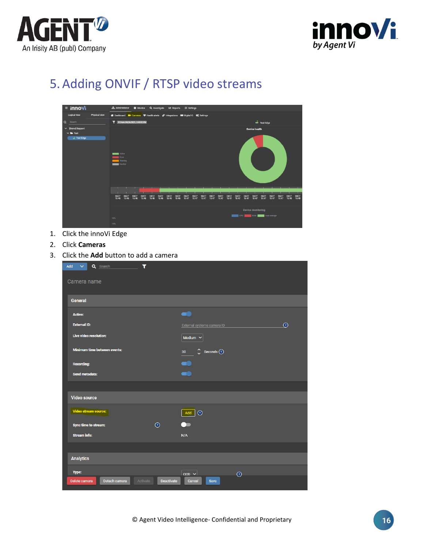![](_page_15_Picture_0.jpeg)

![](_page_15_Picture_1.jpeg)

# <span id="page-15-0"></span>5.Adding ONVIF / RTSP video streams

![](_page_15_Picture_3.jpeg)

- 1. Click the innoVi Edge
- 2. Click **Cameras**
- 3. Click the **Add** button to add a camera

| $\overline{\mathbf{r}}$<br>Add<br>$\checkmark$<br>Q Search <b>Q</b> Search |            |                                                                    |          |
|----------------------------------------------------------------------------|------------|--------------------------------------------------------------------|----------|
| Camera name                                                                |            |                                                                    |          |
| <b>General</b>                                                             |            |                                                                    |          |
| <b>Active:</b>                                                             |            |                                                                    |          |
| <b>External ID:</b>                                                        |            | External systems camera ID                                         | $\Omega$ |
| <b>Live video resolution:</b>                                              |            | Medium $\vee$                                                      |          |
| <b>Minimum time between events:</b>                                        |            | $\hat{\mathcal{C}}$ Seconds $\hat{\mathcal{O}}$<br>30 <sub>o</sub> |          |
| <b>Recording:</b>                                                          |            |                                                                    |          |
| Send metadata:                                                             |            |                                                                    |          |
|                                                                            |            |                                                                    |          |
| <b>Video source</b>                                                        |            |                                                                    |          |
| Video stream source:                                                       |            | Add<br>$\odot$                                                     |          |
| Sync time to stream:                                                       | $\odot$    |                                                                    |          |
| <b>Stream info:</b>                                                        |            | N/A                                                                |          |
|                                                                            |            |                                                                    |          |
| <b>Analytics</b>                                                           |            |                                                                    |          |
| Type:                                                                      |            | $ccD \vee$<br>$\odot$                                              |          |
| Detach camera<br>Delete camera<br>Activate                                 | Deactivate | Cancel<br>Save                                                     |          |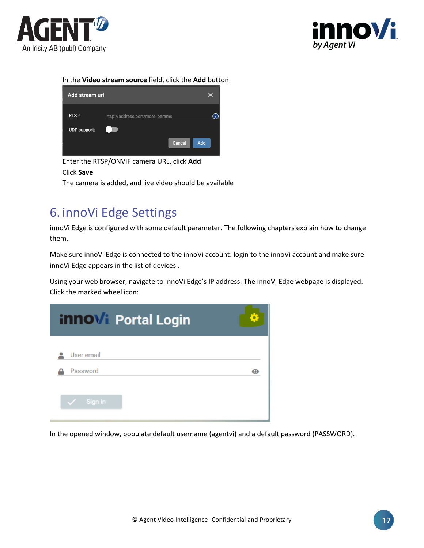![](_page_16_Picture_0.jpeg)

![](_page_16_Picture_1.jpeg)

#### In the **Video stream source** field, click the **Add** button

| Add stream uri      |                                 | x                       |
|---------------------|---------------------------------|-------------------------|
| <b>RTSP</b>         | rtsp://address:port/more_params | $\overline{\mathbf{?}}$ |
| <b>UDP</b> support: |                                 |                         |
|                     | Add<br>Cancel                   |                         |

Enter the RTSP/ONVIF camera URL, click **Add** Click **Save** The camera is added, and live video should be available

# <span id="page-16-0"></span>6. innoVi Edge Settings

innoVi Edge is configured with some default parameter. The following chapters explain how to change them.

Make sure innoVi Edge is connected to the innoVi account: login to the innoVi account and make sure innoVi Edge appears in the list of devices .

Using your web browser, navigate to innoVi Edge's IP address. The innoVi Edge webpage is displayed. Click the marked wheel icon:

| <b>innovi</b> Portal Login |  |
|----------------------------|--|
| User email                 |  |
| Password                   |  |
| Sign in                    |  |

In the opened window, populate default username (agentvi) and a default password (PASSWORD).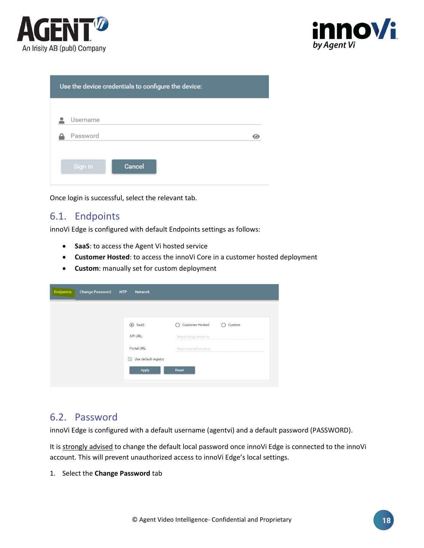![](_page_17_Picture_0.jpeg)

![](_page_17_Picture_1.jpeg)

| Use the device credentials to configure the device: |  |  |  |  |
|-----------------------------------------------------|--|--|--|--|
| Username                                            |  |  |  |  |
| Password                                            |  |  |  |  |
|                                                     |  |  |  |  |
| Cancel<br>Sign in                                   |  |  |  |  |

Once login is successful, select the relevant tab.

## <span id="page-17-0"></span>6.1. Endpoints

innoVi Edge is configured with default Endpoints settings as follows:

- **SaaS**: to access the Agent Vi hosted service
- **Customer Hosted**: to access the innoVi Core in a customer hosted deployment
- **Custom**: manually set for custom deployment

| <b>Endpoints</b><br><b>Change Password</b> | <b>NTP</b><br><b>Network</b>   |                                  |
|--------------------------------------------|--------------------------------|----------------------------------|
|                                            |                                |                                  |
|                                            | SaaS                           | <b>Customer Hosted</b><br>Custom |
|                                            | API URL:                       | https://edge.innovi.io           |
|                                            | Portal URL:                    | https://portal.innovi.io         |
|                                            | Use default registry<br>$\sim$ |                                  |
|                                            | Apply                          | Reset                            |
|                                            |                                |                                  |

#### <span id="page-17-1"></span>6.2. Password

innoVi Edge is configured with a default username (agentvi) and a default password (PASSWORD).

It is strongly advised to change the default local password once innoVi Edge is connected to the innoVi account. This will prevent unauthorized access to innoVi Edge's local settings.

1. Select the **Change Password** tab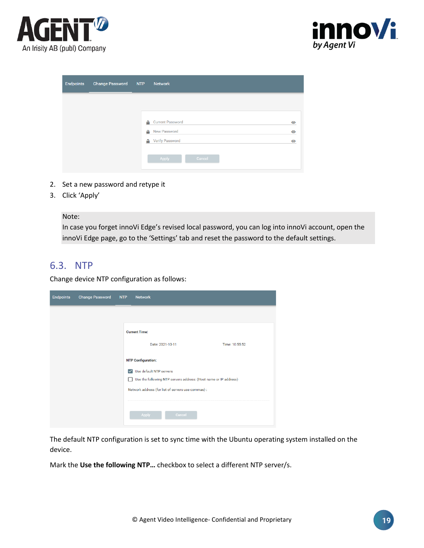![](_page_18_Picture_0.jpeg)

![](_page_18_Picture_1.jpeg)

| <b>Endpoints</b> | Change Password NTP |   | Network                 |           |
|------------------|---------------------|---|-------------------------|-----------|
|                  |                     |   |                         |           |
|                  |                     | А | <b>Current Password</b> | $\bullet$ |
|                  |                     | А | <b>New Password</b>     | $\bullet$ |
|                  |                     | А | <b>Verify Password</b>  | $\bullet$ |
|                  |                     |   | Apply<br>Cancel         |           |

- 2. Set a new password and retype it
- 3. Click 'Apply'

Note:

In case you forget innoVi Edge's revised local password, you can log into innoVi account, open the innoVi Edge page, go to the 'Settings' tab and reset the password to the default settings.

### <span id="page-18-0"></span>6.3. NTP

Change device NTP configuration as follows:

| <b>Endpoints</b> | <b>Change Password</b> | NTP          | <b>Network</b>                                                   |
|------------------|------------------------|--------------|------------------------------------------------------------------|
|                  |                        |              |                                                                  |
|                  |                        |              | <b>Current Time:</b>                                             |
|                  |                        |              | Date: 2021-10-11<br>Time: 10:55:52                               |
|                  |                        |              | <b>NTP Configuration:</b>                                        |
|                  |                        | $\checkmark$ | Use default NTP servers                                          |
|                  |                        |              | Use the following NTP servers address: (Host name or IP address) |
|                  |                        |              | Network address (for list of servers use commas) :               |
|                  |                        |              |                                                                  |
|                  |                        |              | Cancel<br>Apply                                                  |
|                  |                        |              |                                                                  |

The default NTP configuration is set to sync time with the Ubuntu operating system installed on the device.

Mark the **Use the following NTP…** checkbox to select a different NTP server/s.